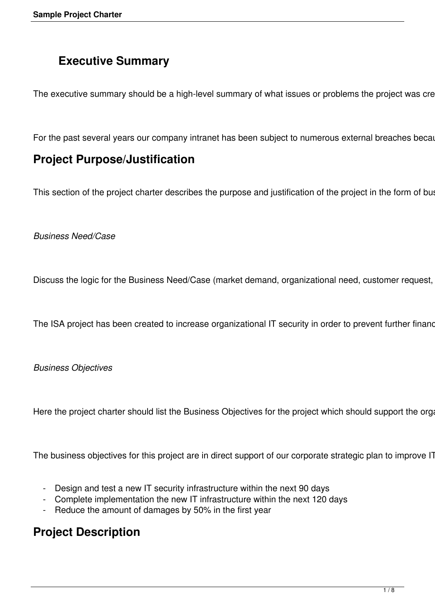# **Executive Summary**

The executive summary should be a high-level summary of what issues or problems the project was cre

For the past several years our company intranet has been subject to numerous external breaches becal

### **Project Purpose/Justification**

This section of the project charter describes the purpose and justification of the project in the form of but

#### *Business Need/Case*

Discuss the logic for the Business Need/Case (market demand, organizational need, customer request,

The ISA project has been created to increase organizational IT security in order to prevent further finand

#### *Business Objectives*

Here the project charter should list the Business Objectives for the project which should support the organizational strategies plan.

The business objectives for this project are in direct support of our corporate strategic plan to improve IT

- Design and test a new IT security infrastructure within the next 90 days
- Complete implementation the new IT infrastructure within the next 120 days
- Reduce the amount of damages by 50% in the first year

### **Project Description**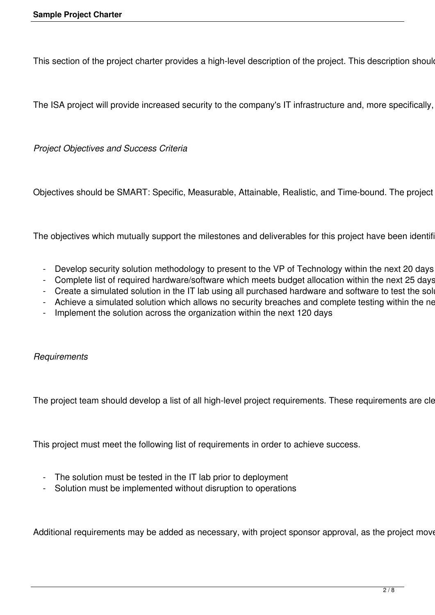This section of the project charter provides a high-level description of the project. This description shoule

The ISA project will provide increased security to the company's IT infrastructure and, more specifically,

*Project Objectives and Success Criteria* 

Objectives should be SMART: Specific, Measurable, Attainable, Realistic, and Time-bound. The project

The objectives which mutually support the milestones and deliverables for this project have been identifi-

- Develop security solution methodology to present to the VP of Technology within the next 20 days
- Complete list of required hardware/software which meets budget allocation within the next 25 days
- Create a simulated solution in the IT lab using all purchased hardware and software to test the sol
- Achieve a simulated solution which allows no security breaches and complete testing within the next
- Implement the solution across the organization within the next 120 days

*Requirements* 

The project team should develop a list of all high-level project requirements. These requirements are cle

This project must meet the following list of requirements in order to achieve success.

- The solution must be tested in the IT lab prior to deployment
- Solution must be implemented without disruption to operations

Additional requirements may be added as necessary, with project sponsor approval, as the project move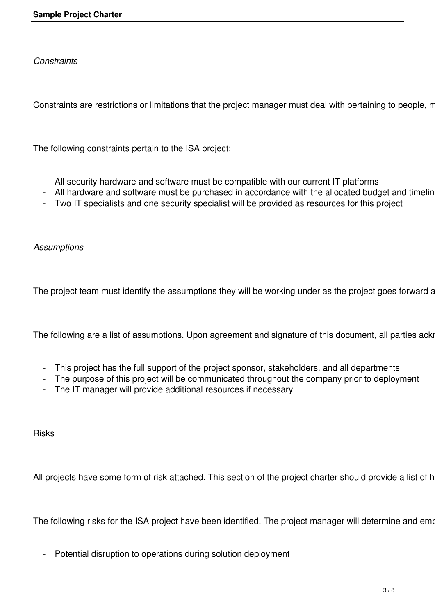*Constraints* 

Constraints are restrictions or limitations that the project manager must deal with pertaining to people, m

The following constraints pertain to the ISA project:

- All security hardware and software must be compatible with our current IT platforms
- All hardware and software must be purchased in accordance with the allocated budget and timelin
- Two IT specialists and one security specialist will be provided as resources for this project

*Assumptions* 

The project team must identify the assumptions they will be working under as the project goes forward a

The following are a list of assumptions. Upon agreement and signature of this document, all parties acki

- This project has the full support of the project sponsor, stakeholders, and all departments
- The purpose of this project will be communicated throughout the company prior to deployment
- The IT manager will provide additional resources if necessary

Risks

All projects have some form of risk attached. This section of the project charter should provide a list of h

The following risks for the ISA project have been identified. The project manager will determine and emp

- Potential disruption to operations during solution deployment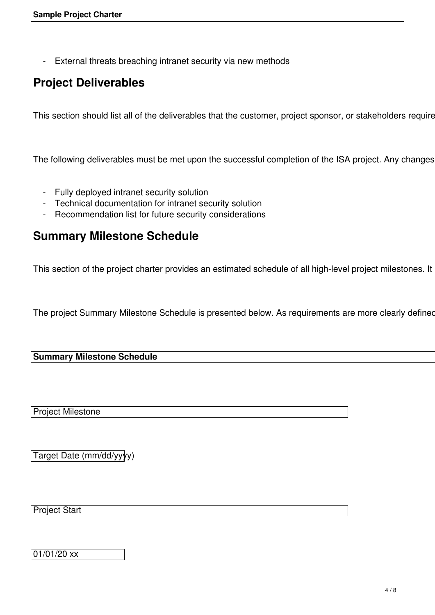- External threats breaching intranet security via new methods

# **Project Deliverables**

This section should list all of the deliverables that the customer, project sponsor, or stakeholders require

The following deliverables must be met upon the successful completion of the ISA project. Any changes

- Fully deployed intranet security solution
- Technical documentation for intranet security solution
- Recommendation list for future security considerations

### **Summary Milestone Schedule**

This section of the project charter provides an estimated schedule of all high-level project milestones. It

The project Summary Milestone Schedule is presented below. As requirements are more clearly defined

#### **Summary Milestone Schedule**

Project Milestone

Target Date (mm/dd/yyyy)

Project Start

01/01/20 xx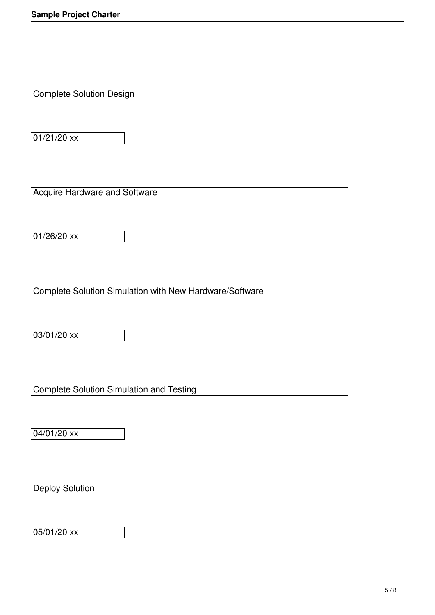Complete Solution Design

 $01/21/20$  xx

Acquire Hardware and Software

 $01/26/20$  xx

Complete Solution Simulation with New Hardware/Software

03/01/20 xx

Complete Solution Simulation and Testing

04/01/20 xx

**Deploy Solution** 

 $05/01/20$  xx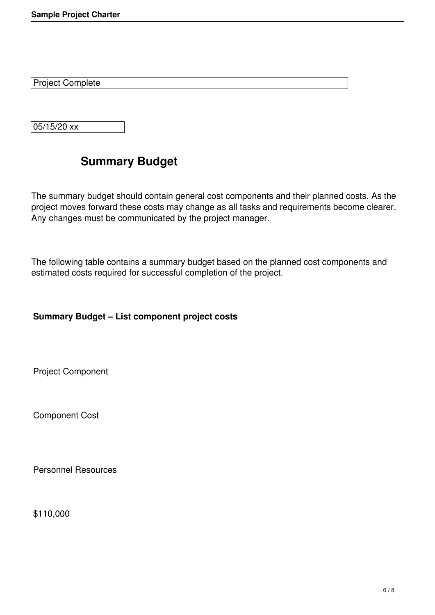Project Complete

05/15/20 xx

# **Summary Budget**

The summary budget should contain general cost components and their planned costs. As the project moves forward these costs may change as all tasks and requirements become clearer. Any changes must be communicated by the project manager.

The following table contains a summary budget based on the planned cost components and estimated costs required for successful completion of the project.

### **Summary Budget – List component project costs**

Project Component

Component Cost

Personnel Resources

\$110,000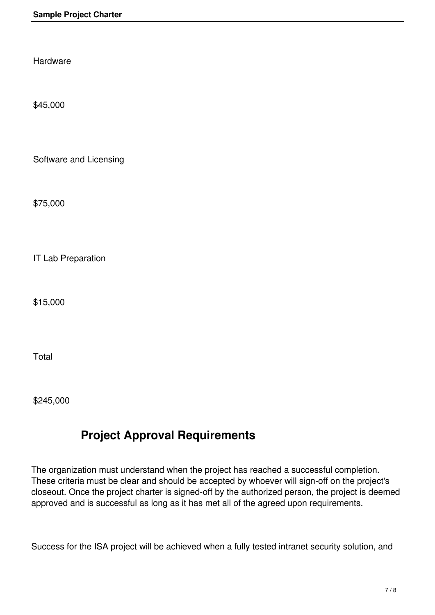Hardware

\$45,000

Software and Licensing

\$75,000

IT Lab Preparation

\$15,000

Total

\$245,000

# **Project Approval Requirements**

The organization must understand when the project has reached a successful completion. These criteria must be clear and should be accepted by whoever will sign-off on the project's closeout. Once the project charter is signed-off by the authorized person, the project is deemed approved and is successful as long as it has met all of the agreed upon requirements.

Success for the ISA project will be achieved when a fully tested intranet security solution, and